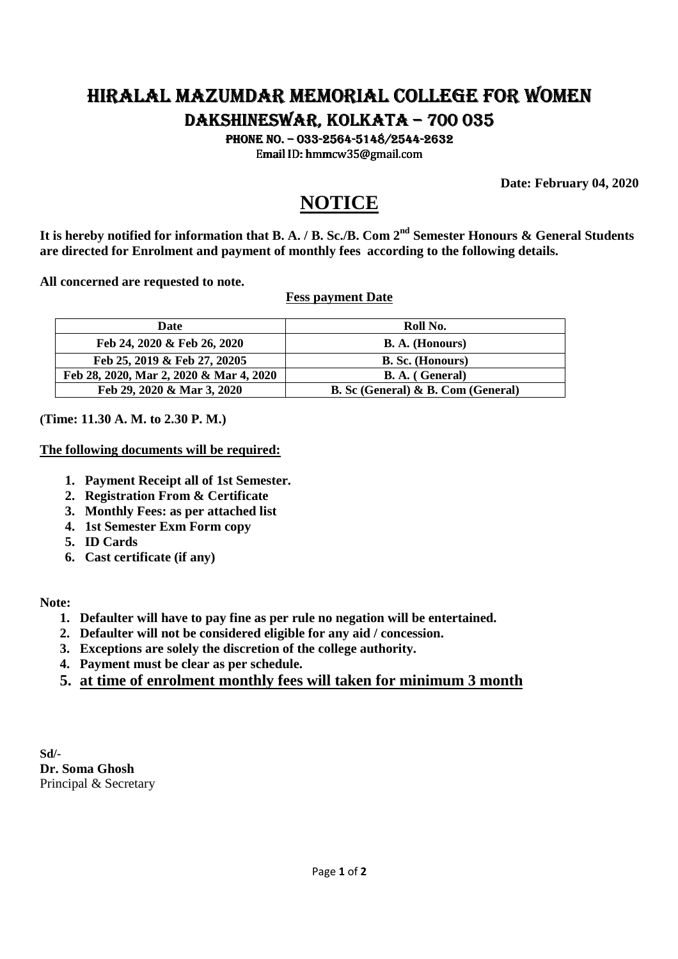### HIRALAL HIRALAL MAZUMDAR MEMORIAL COLLEGE FOR WOMEN MEMORIAL COLLEGE WOMEN DAKSHINESWAR, KOLKATA – 700 035

PHONE NO. - 033-2564-5148/2544-2632 Email ID: hmmcw35@gmail.com

**Date: February 04, 2020** 

## **NOTICE**

**It is hereby notified for information that B. A. / B. Sc./B. Com 2nd Semester Honours & General Students are directed for Enrolment and payment of monthly fees according to the following details.** 

**All concerned are requested to note.** 

**Fess payment Date** 

| <b>Date</b>                             | Roll No.                                  |  |
|-----------------------------------------|-------------------------------------------|--|
| Feb 24, 2020 & Feb 26, 2020             | <b>B. A.</b> (Honours)                    |  |
| Feb 25, 2019 & Feb 27, 20205            | <b>B. Sc.</b> (Honours)                   |  |
| Feb 28, 2020, Mar 2, 2020 & Mar 4, 2020 | <b>B. A.</b> (General)                    |  |
| Feb 29, 2020 & Mar 3, 2020              | <b>B.</b> Sc (General) & B. Com (General) |  |

**(Time: 11.30 A. M. to 2.30 P. M.)** 

#### **The following documents will be required:**

- **1. Payment Receipt all of 1st Semester.**
- **2. Registration From & Certificate**
- **3. Monthly Fees: as per attached list**
- **4. 1st Semester Exm Form copy**
- **5. ID Cards**
- **6. Cast certificate (if any)**

#### **Note:**

- **1. Defaulter will have to pay fine as per rule no negation will be entertained.**
- **2. Defaulter will not be considered eligible for any aid / concession.**
- **3. Exceptions are solely the discretion of the college authority.**
- **4. Payment must be clear as per schedule.**
- **5. at time of enrolment monthly fees will taken for minimum 3 month**

**Sd/- Dr. Soma Ghosh**  Principal & Secretary